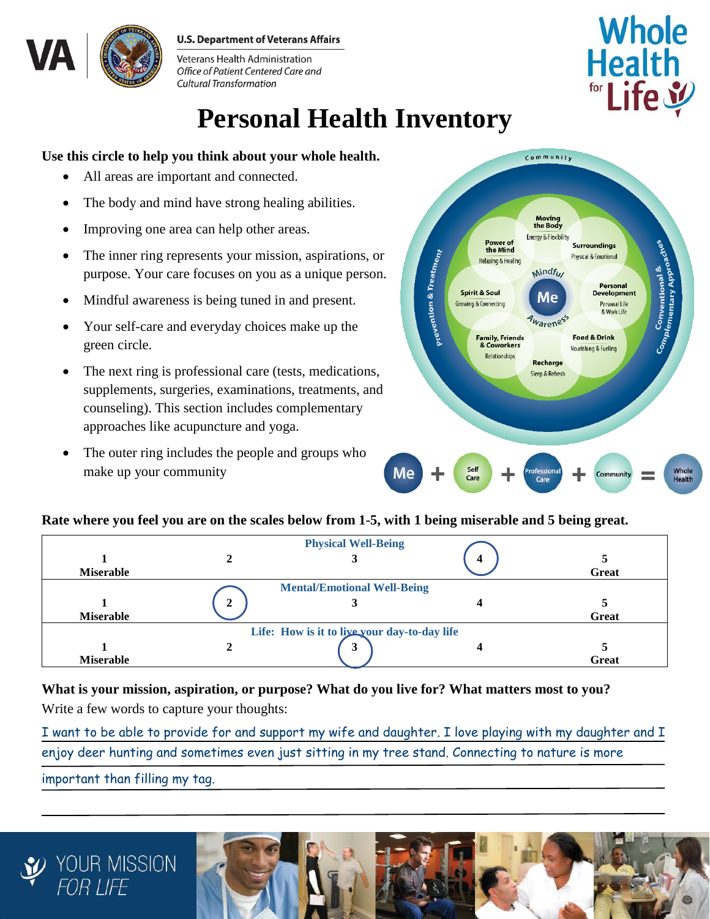#### **U.S. Department of Veterans Affairs**



Veterans Health Administration Office of Patient Centered Care and **Cultural Transformation** 

# **Personal Health Inventory**

#### **Use this circle to help you think about your whole health.**

- All areas are important and connected.
- The body and mind have strong healing abilities.
- Improving one area can help other areas.
- The inner ring represents your mission, aspirations, or purpose. Your care focuses on you as a unique person.
- Mindful awareness is being tuned in and present.
- Your self-care and everyday choices make up the green circle.
- The next ring is professional care (tests, medications, supplements, surgeries, examinations, treatments, and counseling). This section includes complementary approaches like acupuncture and yoga.
- The outer ring includes the people and groups who make up your community



**Whole** 

Health

#### **Rate where you feel you are on the scales below from 1-5, with 1 being miserable and 5 being great.**

| <b>Miserable</b> |   | <b>Physical Well-Being</b>                   | 4 | Great |
|------------------|---|----------------------------------------------|---|-------|
| <b>Miserable</b> | 2 | <b>Mental/Emotional Well-Being</b>           |   | Great |
|                  |   | Life: How is it to live your day-to-day life |   |       |
| <b>Miserable</b> |   | 3                                            |   | Great |

## **What is your mission, aspiration, or purpose? What do you live for? What matters most to you?**

Write a few words to capture your thoughts:

I want to be able to provide for and support my wife and daughter. I love playing with my daughter and I enjoy deer hunting and sometimes even just sitting in my tree stand. Connecting to nature is more important than filling my tag.